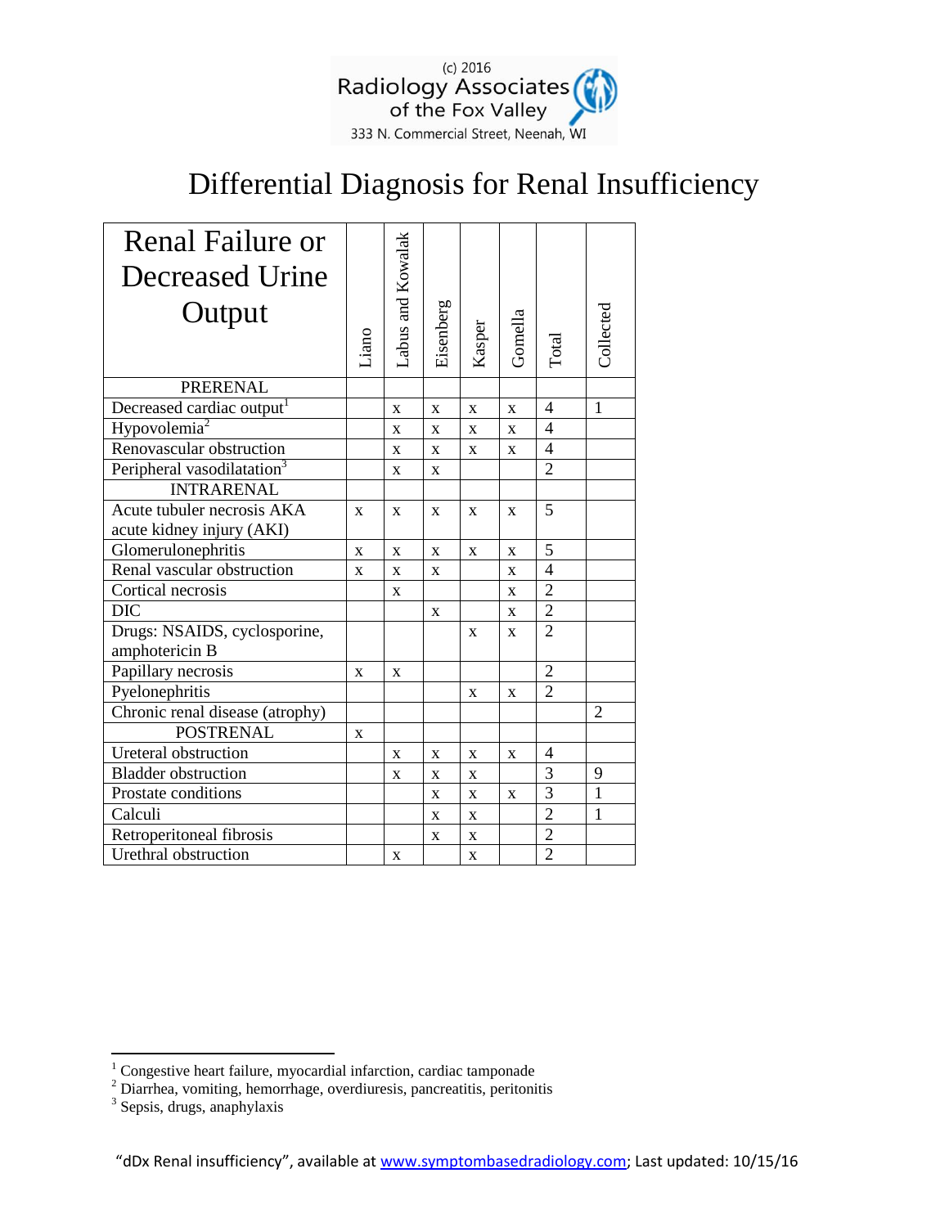

## Differential Diagnosis for Renal Insufficiency

| <b>Renal Failure or</b><br>Decreased Urine |                | Labus and Kowalak |              |              |              |                          |                |
|--------------------------------------------|----------------|-------------------|--------------|--------------|--------------|--------------------------|----------------|
| Output                                     |                |                   |              |              |              |                          |                |
|                                            | Liano          |                   | Eisenberg    | Kasper       | Gomella      | Total                    | Collected      |
| <b>PRERENAL</b>                            |                |                   |              |              |              |                          |                |
| Decreased cardiac output <sup>1</sup>      |                | X                 | X            | X            | X            | $\overline{\mathcal{A}}$ | $\mathbf{1}$   |
| Hypovolemia <sup>2</sup>                   |                | $\mathbf x$       | $\mathbf{x}$ | $\mathbf{x}$ | $\mathbf{x}$ | $\overline{4}$           |                |
| Renovascular obstruction                   |                | X                 | X            | X            | $\mathbf X$  | 4                        |                |
| Peripheral vasodilatation <sup>3</sup>     |                | X                 | $\mathbf{X}$ |              |              | $\overline{2}$           |                |
| <b>INTRARENAL</b>                          |                |                   |              |              |              |                          |                |
| Acute tubuler necrosis AKA                 | X              | X                 | X            | X            | X            | 5                        |                |
| acute kidney injury (AKI)                  |                |                   |              |              |              |                          |                |
| Glomerulonephritis                         | $\overline{X}$ | X                 | $\mathbf{x}$ | X            | X            | 5                        |                |
| Renal vascular obstruction                 | X              | X                 | X            |              | $\mathbf X$  | $\overline{4}$           |                |
| Cortical necrosis                          |                | X                 |              |              | $\mathbf X$  | $\overline{2}$           |                |
| <b>DIC</b>                                 |                |                   | X            |              | X            | $\overline{2}$           |                |
| Drugs: NSAIDS, cyclosporine,               |                |                   |              | X            | X            | $\overline{2}$           |                |
| amphotericin B                             |                |                   |              |              |              |                          |                |
| Papillary necrosis                         | X              | X                 |              |              |              | $\overline{2}$           |                |
| Pyelonephritis                             |                |                   |              | X            | X            | $\overline{2}$           |                |
| Chronic renal disease (atrophy)            |                |                   |              |              |              |                          | $\overline{2}$ |
| <b>POSTRENAL</b>                           | X              |                   |              |              |              |                          |                |
| Ureteral obstruction                       |                | X                 | X            | X            | X            | 4                        |                |
| <b>Bladder</b> obstruction                 |                | $\mathbf{x}$      | $\mathbf{x}$ | $\mathbf x$  |              | 3                        | 9              |
| Prostate conditions                        |                |                   | X            | X            | X            | 3                        | $\mathbf{1}$   |
| Calculi                                    |                |                   | $\mathbf X$  | X            |              | $\overline{2}$           | 1              |
| Retroperitoneal fibrosis                   |                |                   | $\mathbf{x}$ | X            |              | $\overline{2}$           |                |
| Urethral obstruction                       |                | X                 |              | X            |              | $\overline{2}$           |                |

 $\overline{a}$ 

 $1$  Congestive heart failure, myocardial infarction, cardiac tamponade

 $2^{2}$  Diarrhea, vomiting, hemorrhage, overdiuresis, pancreatitis, peritonitis

<sup>3</sup> Sepsis, drugs, anaphylaxis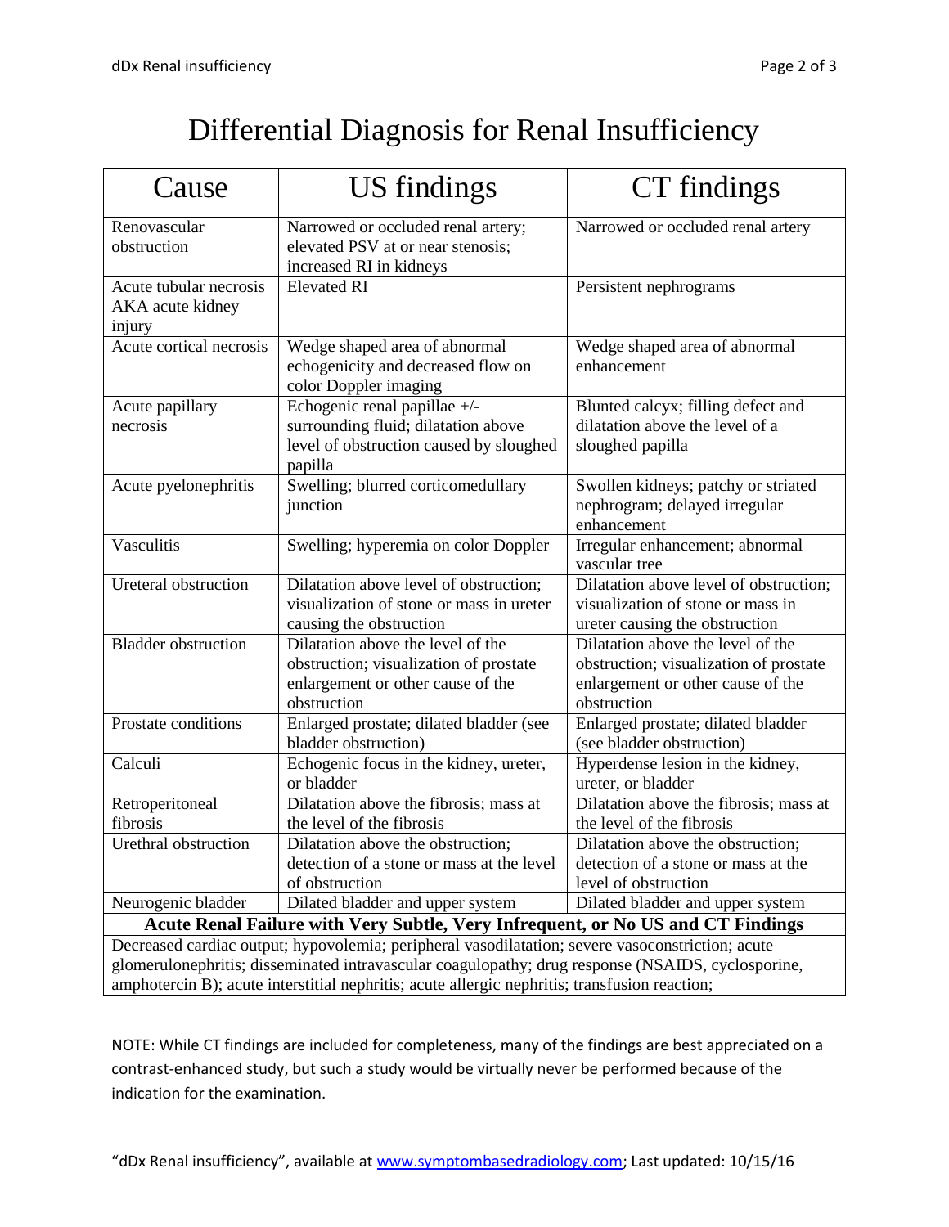| Cause                                                                                                                                                                                                                                                                                                  | <b>US</b> findings                                                                                                              | CT findings                                                                                                                     |  |  |  |  |
|--------------------------------------------------------------------------------------------------------------------------------------------------------------------------------------------------------------------------------------------------------------------------------------------------------|---------------------------------------------------------------------------------------------------------------------------------|---------------------------------------------------------------------------------------------------------------------------------|--|--|--|--|
| Renovascular<br>obstruction                                                                                                                                                                                                                                                                            | Narrowed or occluded renal artery;<br>elevated PSV at or near stenosis;<br>increased RI in kidneys                              | Narrowed or occluded renal artery                                                                                               |  |  |  |  |
| Acute tubular necrosis<br>AKA acute kidney<br>injury                                                                                                                                                                                                                                                   | <b>Elevated RI</b>                                                                                                              | Persistent nephrograms                                                                                                          |  |  |  |  |
| Acute cortical necrosis                                                                                                                                                                                                                                                                                | Wedge shaped area of abnormal<br>echogenicity and decreased flow on<br>color Doppler imaging                                    | Wedge shaped area of abnormal<br>enhancement                                                                                    |  |  |  |  |
| Acute papillary<br>necrosis                                                                                                                                                                                                                                                                            | Echogenic renal papillae +/-<br>surrounding fluid; dilatation above<br>level of obstruction caused by sloughed<br>papilla       | Blunted calcyx; filling defect and<br>dilatation above the level of a<br>sloughed papilla                                       |  |  |  |  |
| Acute pyelonephritis                                                                                                                                                                                                                                                                                   | Swelling; blurred corticomedullary<br>junction                                                                                  | Swollen kidneys; patchy or striated<br>nephrogram; delayed irregular<br>enhancement                                             |  |  |  |  |
| Vasculitis                                                                                                                                                                                                                                                                                             | Swelling; hyperemia on color Doppler                                                                                            | Irregular enhancement; abnormal<br>vascular tree                                                                                |  |  |  |  |
| Ureteral obstruction                                                                                                                                                                                                                                                                                   | Dilatation above level of obstruction;<br>visualization of stone or mass in ureter<br>causing the obstruction                   | Dilatation above level of obstruction;<br>visualization of stone or mass in<br>ureter causing the obstruction                   |  |  |  |  |
| <b>Bladder</b> obstruction                                                                                                                                                                                                                                                                             | Dilatation above the level of the<br>obstruction; visualization of prostate<br>enlargement or other cause of the<br>obstruction | Dilatation above the level of the<br>obstruction; visualization of prostate<br>enlargement or other cause of the<br>obstruction |  |  |  |  |
| Prostate conditions                                                                                                                                                                                                                                                                                    | Enlarged prostate; dilated bladder (see<br>bladder obstruction)                                                                 | Enlarged prostate; dilated bladder<br>(see bladder obstruction)                                                                 |  |  |  |  |
| Calculi                                                                                                                                                                                                                                                                                                | Echogenic focus in the kidney, ureter,<br>or bladder                                                                            | Hyperdense lesion in the kidney,<br>ureter, or bladder                                                                          |  |  |  |  |
| Retroperitoneal<br>fibrosis                                                                                                                                                                                                                                                                            | Dilatation above the fibrosis; mass at<br>the level of the fibrosis                                                             | Dilatation above the fibrosis; mass at<br>the level of the fibrosis                                                             |  |  |  |  |
| Urethral obstruction                                                                                                                                                                                                                                                                                   | Dilatation above the obstruction;<br>detection of a stone or mass at the level<br>of obstruction                                | Dilatation above the obstruction;<br>detection of a stone or mass at the<br>level of obstruction                                |  |  |  |  |
| Neurogenic bladder                                                                                                                                                                                                                                                                                     | Dilated bladder and upper system                                                                                                | Dilated bladder and upper system                                                                                                |  |  |  |  |
| Acute Renal Failure with Very Subtle, Very Infrequent, or No US and CT Findings                                                                                                                                                                                                                        |                                                                                                                                 |                                                                                                                                 |  |  |  |  |
| Decreased cardiac output; hypovolemia; peripheral vasodilatation; severe vasoconstriction; acute<br>glomerulonephritis; disseminated intravascular coagulopathy; drug response (NSAIDS, cyclosporine,<br>amphotercin B); acute interstitial nephritis; acute allergic nephritis; transfusion reaction; |                                                                                                                                 |                                                                                                                                 |  |  |  |  |

NOTE: While CT findings are included for completeness, many of the findings are best appreciated on a contrast-enhanced study, but such a study would be virtually never be performed because of the indication for the examination.